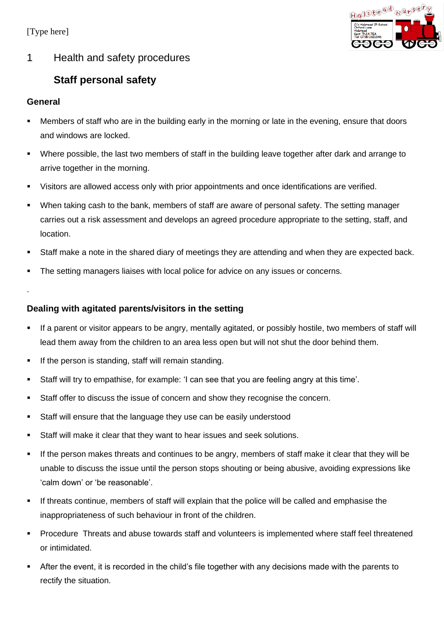[Type here]



### 1 Health and safety procedures

# **Staff personal safety**

#### **General**

- Members of staff who are in the building early in the morning or late in the evening, ensure that doors and windows are locked.
- Where possible, the last two members of staff in the building leave together after dark and arrange to arrive together in the morning.
- Visitors are allowed access only with prior appointments and once identifications are verified.
- When taking cash to the bank, members of staff are aware of personal safety. The setting manager carries out a risk assessment and develops an agreed procedure appropriate to the setting, staff, and location.
- Staff make a note in the shared diary of meetings they are attending and when they are expected back.
- The setting managers liaises with local police for advice on any issues or concerns.

.

### **Dealing with agitated parents/visitors in the setting**

- If a parent or visitor appears to be angry, mentally agitated, or possibly hostile, two members of staff will lead them away from the children to an area less open but will not shut the door behind them.
- If the person is standing, staff will remain standing.
- Staff will try to empathise, for example: 'I can see that you are feeling angry at this time'.
- Staff offer to discuss the issue of concern and show they recognise the concern.
- Staff will ensure that the language they use can be easily understood
- Staff will make it clear that they want to hear issues and seek solutions.
- If the person makes threats and continues to be angry, members of staff make it clear that they will be unable to discuss the issue until the person stops shouting or being abusive, avoiding expressions like 'calm down' or 'be reasonable'.
- If threats continue, members of staff will explain that the police will be called and emphasise the inappropriateness of such behaviour in front of the children.
- Procedure Threats and abuse towards staff and volunteers is implemented where staff feel threatened or intimidated.
- After the event, it is recorded in the child's file together with any decisions made with the parents to rectify the situation.